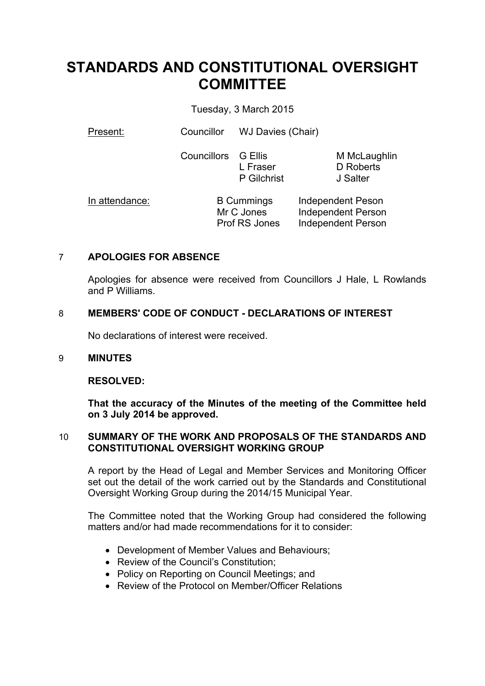# **STANDARDS AND CONSTITUTIONAL OVERSIGHT COMMITTEE**

Tuesday, 3 March 2015

Present: Councillor WJ Davies (Chair)

Councillors G Ellis L Fraser P Gilchrist

M McLaughlin D Roberts J Salter

In attendance: B Cummings Mr C Jones Prof RS Jones Independent Peson Independent Person Independent Person

## 7 **APOLOGIES FOR ABSENCE**

Apologies for absence were received from Councillors J Hale, L Rowlands and P Williams.

## 8 **MEMBERS' CODE OF CONDUCT - DECLARATIONS OF INTEREST**

No declarations of interest were received.

## 9 **MINUTES**

## **RESOLVED:**

**That the accuracy of the Minutes of the meeting of the Committee held on 3 July 2014 be approved.**

## 10 **SUMMARY OF THE WORK AND PROPOSALS OF THE STANDARDS AND CONSTITUTIONAL OVERSIGHT WORKING GROUP**

A report by the Head of Legal and Member Services and Monitoring Officer set out the detail of the work carried out by the Standards and Constitutional Oversight Working Group during the 2014/15 Municipal Year.

The Committee noted that the Working Group had considered the following matters and/or had made recommendations for it to consider:

- Development of Member Values and Behaviours;
- Review of the Council's Constitution;
- Policy on Reporting on Council Meetings; and
- Review of the Protocol on Member/Officer Relations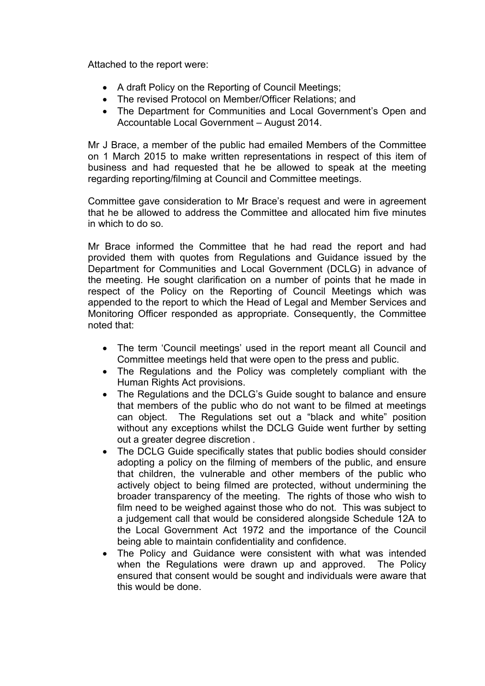Attached to the report were:

- A draft Policy on the Reporting of Council Meetings;
- The revised Protocol on Member/Officer Relations: and
- The Department for Communities and Local Government's Open and Accountable Local Government – August 2014.

Mr J Brace, a member of the public had emailed Members of the Committee on 1 March 2015 to make written representations in respect of this item of business and had requested that he be allowed to speak at the meeting regarding reporting/filming at Council and Committee meetings.

Committee gave consideration to Mr Brace's request and were in agreement that he be allowed to address the Committee and allocated him five minutes in which to do so.

Mr Brace informed the Committee that he had read the report and had provided them with quotes from Regulations and Guidance issued by the Department for Communities and Local Government (DCLG) in advance of the meeting. He sought clarification on a number of points that he made in respect of the Policy on the Reporting of Council Meetings which was appended to the report to which the Head of Legal and Member Services and Monitoring Officer responded as appropriate. Consequently, the Committee noted that:

- The term 'Council meetings' used in the report meant all Council and Committee meetings held that were open to the press and public.
- The Regulations and the Policy was completely compliant with the Human Rights Act provisions.
- The Regulations and the DCLG's Guide sought to balance and ensure that members of the public who do not want to be filmed at meetings can object. The Regulations set out a "black and white" position without any exceptions whilst the DCLG Guide went further by setting out a greater degree discretion .
- The DCLG Guide specifically states that public bodies should consider adopting a policy on the filming of members of the public, and ensure that children, the vulnerable and other members of the public who actively object to being filmed are protected, without undermining the broader transparency of the meeting. The rights of those who wish to film need to be weighed against those who do not. This was subject to a judgement call that would be considered alongside Schedule 12A to the Local Government Act 1972 and the importance of the Council being able to maintain confidentiality and confidence.
- The Policy and Guidance were consistent with what was intended when the Regulations were drawn up and approved. The Policy ensured that consent would be sought and individuals were aware that this would be done.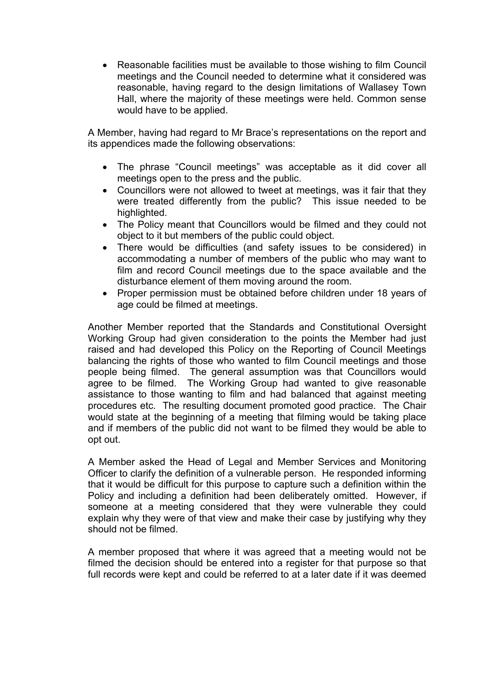Reasonable facilities must be available to those wishing to film Council meetings and the Council needed to determine what it considered was reasonable, having regard to the design limitations of Wallasey Town Hall, where the majority of these meetings were held. Common sense would have to be applied.

A Member, having had regard to Mr Brace's representations on the report and its appendices made the following observations:

- The phrase "Council meetings" was acceptable as it did cover all meetings open to the press and the public.
- Councillors were not allowed to tweet at meetings, was it fair that they were treated differently from the public? This issue needed to be highlighted.
- The Policy meant that Councillors would be filmed and they could not object to it but members of the public could object.
- There would be difficulties (and safety issues to be considered) in accommodating a number of members of the public who may want to film and record Council meetings due to the space available and the disturbance element of them moving around the room.
- Proper permission must be obtained before children under 18 years of age could be filmed at meetings.

Another Member reported that the Standards and Constitutional Oversight Working Group had given consideration to the points the Member had just raised and had developed this Policy on the Reporting of Council Meetings balancing the rights of those who wanted to film Council meetings and those people being filmed. The general assumption was that Councillors would agree to be filmed. The Working Group had wanted to give reasonable assistance to those wanting to film and had balanced that against meeting procedures etc. The resulting document promoted good practice. The Chair would state at the beginning of a meeting that filming would be taking place and if members of the public did not want to be filmed they would be able to opt out.

A Member asked the Head of Legal and Member Services and Monitoring Officer to clarify the definition of a vulnerable person. He responded informing that it would be difficult for this purpose to capture such a definition within the Policy and including a definition had been deliberately omitted. However, if someone at a meeting considered that they were vulnerable they could explain why they were of that view and make their case by justifying why they should not be filmed.

A member proposed that where it was agreed that a meeting would not be filmed the decision should be entered into a register for that purpose so that full records were kept and could be referred to at a later date if it was deemed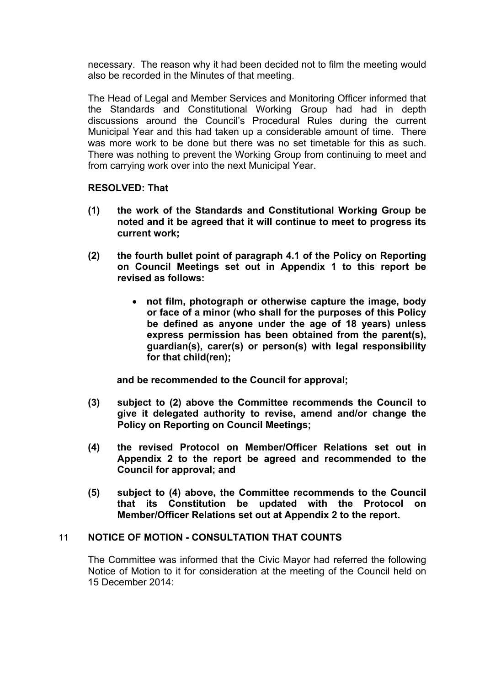necessary. The reason why it had been decided not to film the meeting would also be recorded in the Minutes of that meeting.

The Head of Legal and Member Services and Monitoring Officer informed that the Standards and Constitutional Working Group had had in depth discussions around the Council's Procedural Rules during the current Municipal Year and this had taken up a considerable amount of time. There was more work to be done but there was no set timetable for this as such. There was nothing to prevent the Working Group from continuing to meet and from carrying work over into the next Municipal Year.

#### **RESOLVED: That**

- **(1) the work of the Standards and Constitutional Working Group be noted and it be agreed that it will continue to meet to progress its current work;**
- **(2) the fourth bullet point of paragraph 4.1 of the Policy on Reporting on Council Meetings set out in Appendix 1 to this report be revised as follows:**
	- **not film, photograph or otherwise capture the image, body or face of a minor (who shall for the purposes of this Policy be defined as anyone under the age of 18 years) unless express permission has been obtained from the parent(s), guardian(s), carer(s) or person(s) with legal responsibility for that child(ren);**

**and be recommended to the Council for approval;**

- **(3) subject to (2) above the Committee recommends the Council to give it delegated authority to revise, amend and/or change the Policy on Reporting on Council Meetings;**
- **(4) the revised Protocol on Member/Officer Relations set out in Appendix 2 to the report be agreed and recommended to the Council for approval; and**
- **(5) subject to (4) above, the Committee recommends to the Council that its Constitution be updated with the Protocol on Member/Officer Relations set out at Appendix 2 to the report.**

#### 11 **NOTICE OF MOTION - CONSULTATION THAT COUNTS**

The Committee was informed that the Civic Mayor had referred the following Notice of Motion to it for consideration at the meeting of the Council held on 15 December 2014: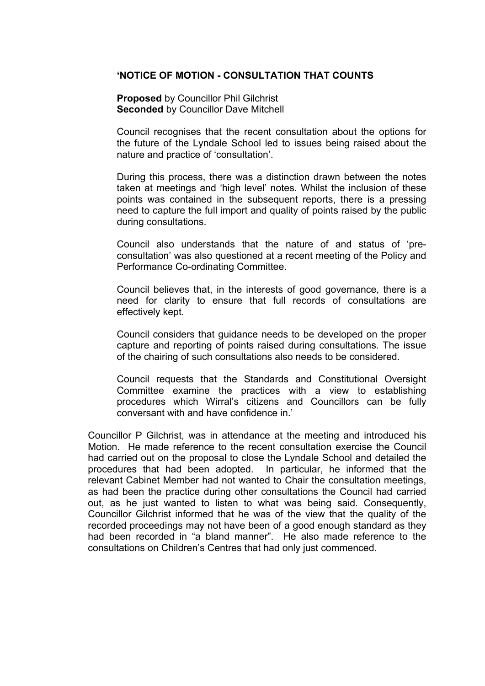#### **'NOTICE OF MOTION - CONSULTATION THAT COUNTS**

**Proposed** by Councillor Phil Gilchrist **Seconded** by Councillor Dave Mitchell

Council recognises that the recent consultation about the options for the future of the Lyndale School led to issues being raised about the nature and practice of 'consultation'.

During this process, there was a distinction drawn between the notes taken at meetings and 'high level' notes. Whilst the inclusion of these points was contained in the subsequent reports, there is a pressing need to capture the full import and quality of points raised by the public during consultations.

Council also understands that the nature of and status of 'preconsultation' was also questioned at a recent meeting of the Policy and Performance Co-ordinating Committee.

Council believes that, in the interests of good governance, there is a need for clarity to ensure that full records of consultations are effectively kept.

Council considers that guidance needs to be developed on the proper capture and reporting of points raised during consultations. The issue of the chairing of such consultations also needs to be considered.

Council requests that the Standards and Constitutional Oversight Committee examine the practices with a view to establishing procedures which Wirral's citizens and Councillors can be fully conversant with and have confidence in.'

Councillor P Gilchrist, was in attendance at the meeting and introduced his Motion. He made reference to the recent consultation exercise the Council had carried out on the proposal to close the Lyndale School and detailed the procedures that had been adopted. In particular, he informed that the relevant Cabinet Member had not wanted to Chair the consultation meetings, as had been the practice during other consultations the Council had carried out, as he just wanted to listen to what was being said. Consequently, Councillor Gilchrist informed that he was of the view that the quality of the recorded proceedings may not have been of a good enough standard as they had been recorded in "a bland manner". He also made reference to the consultations on Children's Centres that had only just commenced.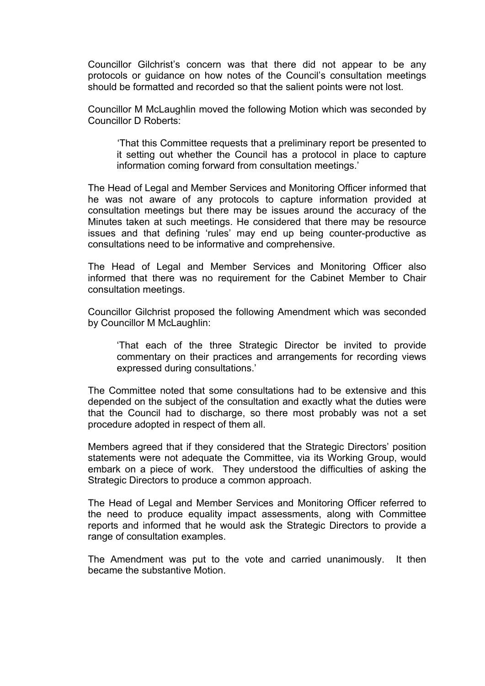Councillor Gilchrist's concern was that there did not appear to be any protocols or guidance on how notes of the Council's consultation meetings should be formatted and recorded so that the salient points were not lost.

Councillor M McLaughlin moved the following Motion which was seconded by Councillor D Roberts:

'That this Committee requests that a preliminary report be presented to it setting out whether the Council has a protocol in place to capture information coming forward from consultation meetings.'

The Head of Legal and Member Services and Monitoring Officer informed that he was not aware of any protocols to capture information provided at consultation meetings but there may be issues around the accuracy of the Minutes taken at such meetings. He considered that there may be resource issues and that defining 'rules' may end up being counter-productive as consultations need to be informative and comprehensive.

The Head of Legal and Member Services and Monitoring Officer also informed that there was no requirement for the Cabinet Member to Chair consultation meetings.

Councillor Gilchrist proposed the following Amendment which was seconded by Councillor M McLaughlin:

'That each of the three Strategic Director be invited to provide commentary on their practices and arrangements for recording views expressed during consultations.'

The Committee noted that some consultations had to be extensive and this depended on the subject of the consultation and exactly what the duties were that the Council had to discharge, so there most probably was not a set procedure adopted in respect of them all.

Members agreed that if they considered that the Strategic Directors' position statements were not adequate the Committee, via its Working Group, would embark on a piece of work. They understood the difficulties of asking the Strategic Directors to produce a common approach.

The Head of Legal and Member Services and Monitoring Officer referred to the need to produce equality impact assessments, along with Committee reports and informed that he would ask the Strategic Directors to provide a range of consultation examples.

The Amendment was put to the vote and carried unanimously. It then became the substantive Motion.